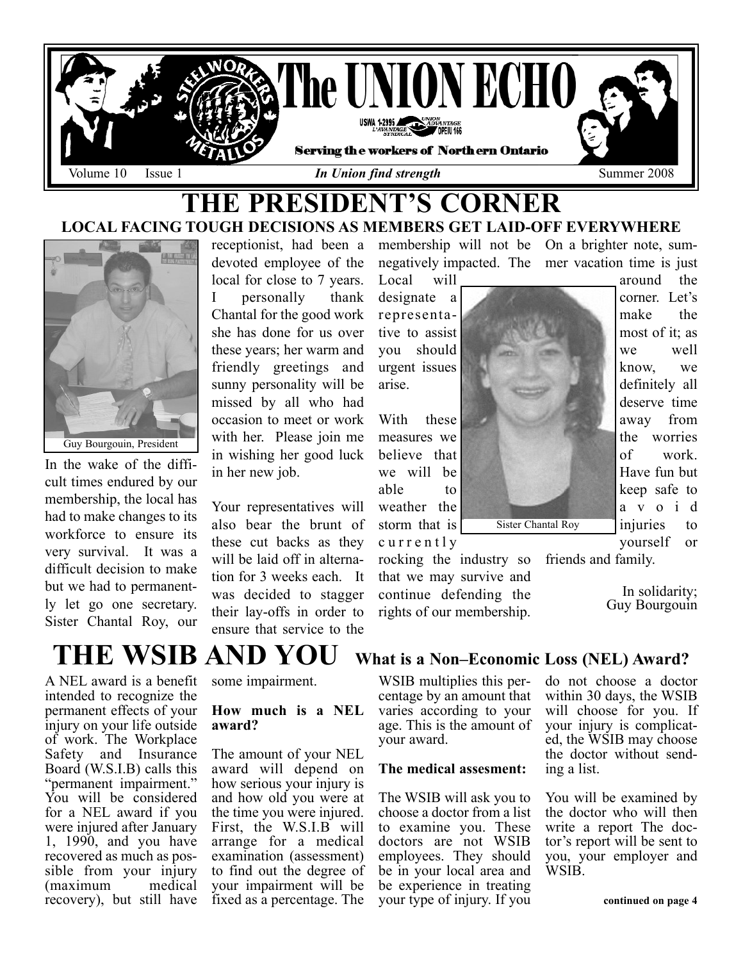

# THE PRESIDENT'S CORNER LOCAL FACING TOUGH DECISIONS AS MEMBERS GET LAID-OFF EVERYWHERE



In the wake of the difficult times endured by our membership, the local has had to make changes to its workforce to ensure its very survival. It was a difficult decision to make but we had to permanently let go one secretary. Sister Chantal Roy, our

receptionist, had been a devoted employee of the local for close to 7 years. I personally thank Chantal for the good work she has done for us over these years; her warm and friendly greetings and sunny personality will be missed by all who had occasion to meet or work with her. Please join me in wishing her good luck in her new job.

Your representatives will also bear the brunt of these cut backs as they will be laid off in alternation for 3 weeks each. It was decided to stagger their lay-offs in order to ensure that service to the

Local will designate a representative to assist you should urgent issues arise.

With these measures we believe that we will be able to weather the storm that is currently

rocking the industry so that we may survive and continue defending the rights of our membership. friends and family.

membership will not be On a brighter note, sumnegatively impacted. The mer vacation time is just around the



Sister Chantal Roy

most of it; as we well know, we definitely all deserve time away from the worries of work. Have fun but keep safe to avoid injuries to yourself or

corner. Let's make the

In solidarity;

Guy Bourgouin

THE WSIB AND YOU What is a Non–Economic Loss (NEL) Award?

A NEL award is a benefit intended to recognize the permanent effects of your injury on your life outside of work. The Workplace Safety and Insurance Board (W.S.I.B) calls this "permanent impairment." You will be considered for a NEL award if you were injured after January 1, 1990, and you have recovered as much as possible from your injury (maximum medical recovery), but still have

some impairment.

#### How much is a NEL award?

The amount of your NEL award will depend on how serious your injury is and how old you were at the time you were injured. First, the W.S.I.B will arrange for a medical examination (assessment) to find out the degree of your impairment will be fixed as a percentage. The

WSIB multiplies this percentage by an amount that varies according to your age. This is the amount of your award.

#### The medical assesment:

The WSIB will ask you to choose a doctor from a list to examine you. These doctors are not WSIB employees. They should be in your local area and be experience in treating your type of injury. If you do not choose a doctor within 30 days, the WSIB will choose for you. If your injury is complicated, the WSIB may choose the doctor without sending a list.

You will be examined by the doctor who will then write a report The doctor's report will be sent to you, your employer and WSIB.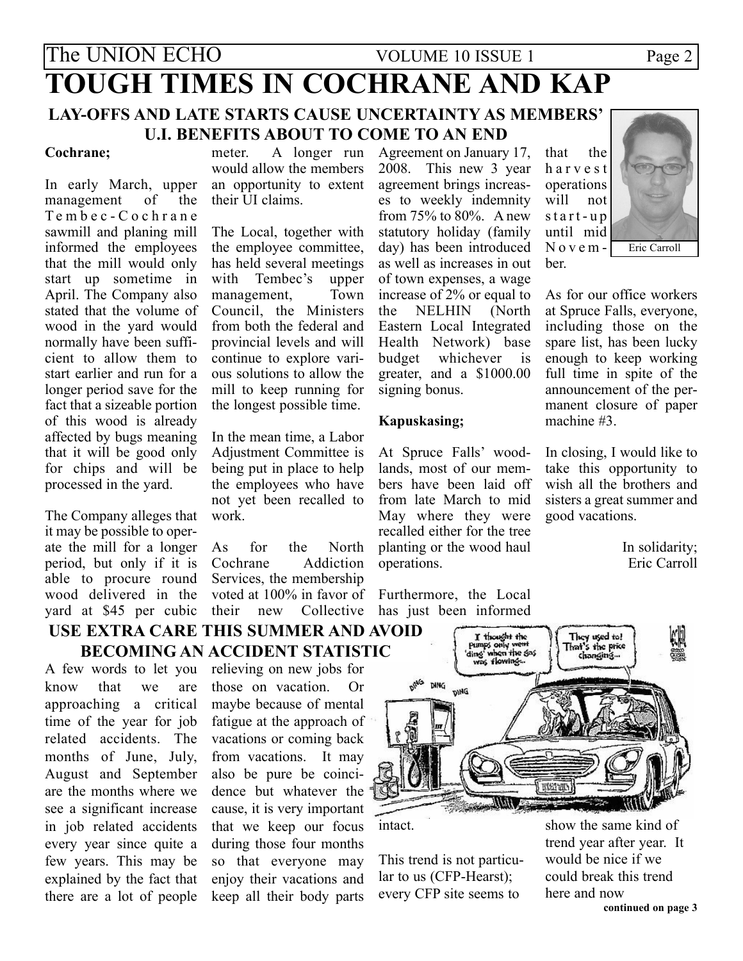# The UNION ECHO VOLUME 10 ISSUE 1 Page 2 TOUGH TIMES IN COCHRANE AND KAP LAY-OFFS AND LATE STARTS CAUSE UNCERTAINTY AS MEMBERS' U.I. BENEFITS ABOUT TO COME TO AN END

#### Cochrane;

In early March, upper management of the T embec-Cochrane sawmill and planing mill informed the employees that the mill would only start up sometime in April. The Company also stated that the volume of wood in the yard would normally have been sufficient to allow them to start earlier and run for a longer period save for the fact that a sizeable portion of this wood is already affected by bugs meaning that it will be good only for chips and will be processed in the yard.

The Company alleges that it may be possible to operate the mill for a longer period, but only if it is able to procure round wood delivered in the yard at \$45 per cubic

meter. A longer run would allow the members an opportunity to extent their UI claims.

The Local, together with the employee committee, has held several meetings with Tembec's upper management, Town Council, the Ministers from both the federal and provincial levels and will continue to explore various solutions to allow the mill to keep running for the longest possible time.

In the mean time, a Labor Adjustment Committee is being put in place to help the employees who have not yet been recalled to work.

As for the North<br>Cochrane Addiction Addiction Services, the membership voted at 100% in favor of Furthermore, the Local their new Collective

## USE EXTRA CARE THIS SUMMER AND AVOID BECOMING AN ACCIDENT STATISTIC

A few words to let you know that we are approaching a critical time of the year for job related accidents. The months of June, July, August and September are the months where we see a significant increase in job related accidents every year since quite a few years. This may be explained by the fact that there are a lot of people

relieving on new jobs for those on vacation. Or maybe because of mental fatigue at the approach of vacations or coming back from vacations. It may also be pure be coincidence but whatever the cause, it is very important that we keep our focus during those four months so that everyone may enjoy their vacations and keep all their body parts

Agreement on January 17, 2008. This new 3 year agreement brings increases to weekly indemnity from 75% to 80%. A new statutory holiday (family day) has been introduced as well as increases in out of town expenses, a wage increase of 2% or equal to the NELHIN (North Eastern Local Integrated Health Network) base budget whichever is greater, and a \$1000.00 signing bonus.

#### Kapuskasing;

At Spruce Falls' woodlands, most of our members have been laid off from late March to mid May where they were recalled either for the tree planting or the wood haul operations.

has just been informed

that the harvest operations will not start-up until mid November.



As for our office workers at Spruce Falls, everyone, including those on the spare list, has been lucky enough to keep working full time in spite of the announcement of the permanent closure of paper machine #3.

In closing, I would like to take this opportunity to wish all the brothers and sisters a great summer and good vacations.

> In solidarity; Eric Carroll



intact.

This trend is not particular to us (CFP-Hearst); every CFP site seems to

show the same kind of trend year after year. It would be nice if we could break this trend here and now continued on page 3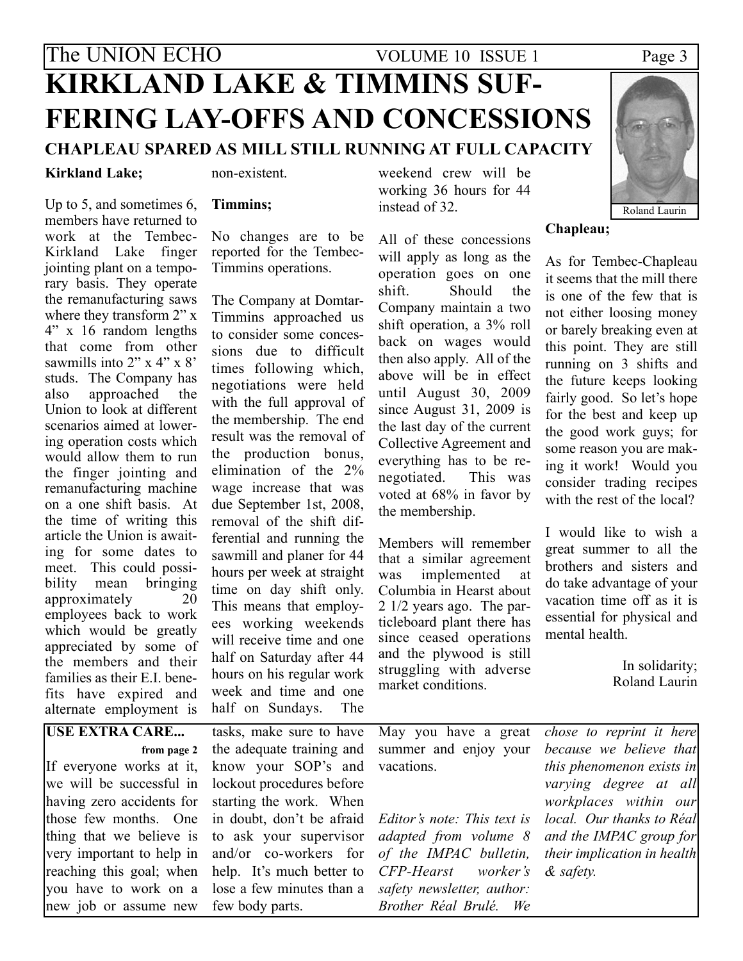# The UNION ECHO VOLUME 10 ISSUE 1 Page 3 KIRKLAND LAKE & TIMMINS SUF-FERING LAY-OFFS AND CONCESSIONS CHAPLEAU SPARED AS MILL STILL RUNNING AT FULL CAPACITY

### Kirkland Lake;

Up to 5, and sometimes 6,

alternate employment is

non-existent.

#### Timmins;

members have returned to work at the Tembec-Kirkland Lake finger jointing plant on a temporary basis. They operate the remanufacturing saws where they transform 2" x 4" x 16 random lengths that come from other sawmills into 2" x 4" x 8" studs. The Company has also approached the Union to look at different scenarios aimed at lowering operation costs which would allow them to run the finger jointing and remanufacturing machine on a one shift basis. At the time of writing this article the Union is awaiting for some dates to meet. This could possibility mean bringing approximately 20 employees back to work which would be greatly appreciated by some of the members and their families as their E.I. benefits have expired and

No changes are to be reported for the Tembec-Timmins operations.

The Company at Domtar-Timmins approached us to consider some concessions due to difficult times following which, negotiations were held with the full approval of the membership. The end result was the removal of the production bonus, elimination of the 2% wage increase that was due September 1st, 2008, removal of the shift differential and running the sawmill and planer for 44 hours per week at straight time on day shift only. This means that employees working weekends will receive time and one half on Saturday after 44 hours on his regular work week and time and one half on Sundays. The

weekend crew will be working 36 hours for 44 instead of 32.

All of these concessions will apply as long as the operation goes on one shift. Should the Company maintain a two shift operation, a 3% roll back on wages would then also apply. All of the above will be in effect until August 30, 2009 since August 31, 2009 is the last day of the current Collective Agreement and everything has to be renegotiated. This was voted at 68% in favor by the membership.

Members will remember that a similar agreement was implemented at Columbia in Hearst about 2 1/2 years ago. The particleboard plant there has since ceased operations and the plywood is still struggling with adverse market conditions.



it seems that the mill there is one of the few that is not either loosing money or barely breaking even at this point. They are still running on 3 shifts and the future keeps looking fairly good. So let's hope for the best and keep up the good work guys; for some reason you are making it work! Would you consider trading recipes with the rest of the local?

I would like to wish a great summer to all the brothers and sisters and do take advantage of your vacation time off as it is essential for physical and mental health.

> In solidarity; Roland Laurin

| <b>USE EXTRA CARE</b> tasks, make sure to have May you have a great <i>chose to reprint it here</i>               |                           |
|-------------------------------------------------------------------------------------------------------------------|---------------------------|
| from page 2 the adequate training and summer and enjoy your <i>because we believe that</i>                        |                           |
| If everyone works at it, know your SOP's and vacations.                                                           | this phenomenon exists in |
| we will be successful in lockout procedures before                                                                | varying degree at all     |
| having zero accidents for starting the work. When                                                                 | workplaces within our     |
| those few months. One in doubt, don't be afraid Editor's note: This text is local. Our thanks to Réal             |                           |
| thing that we believe is to ask your supervisor <i>adapted from volume 8 and the IMPAC group for</i>              |                           |
| very important to help in and/or co-workers for <i>of the IMPAC bulletin</i> , <i>their implication in health</i> |                           |
| reaching this goal; when help. It's much better to CFP-Hearst worker's & safety.                                  |                           |
| you have to work on a lose a few minutes than a <i>safety newsletter</i> , <i>author</i> :                        |                           |
| new job or assume new few body parts. Brother Réal Brulé. We                                                      |                           |